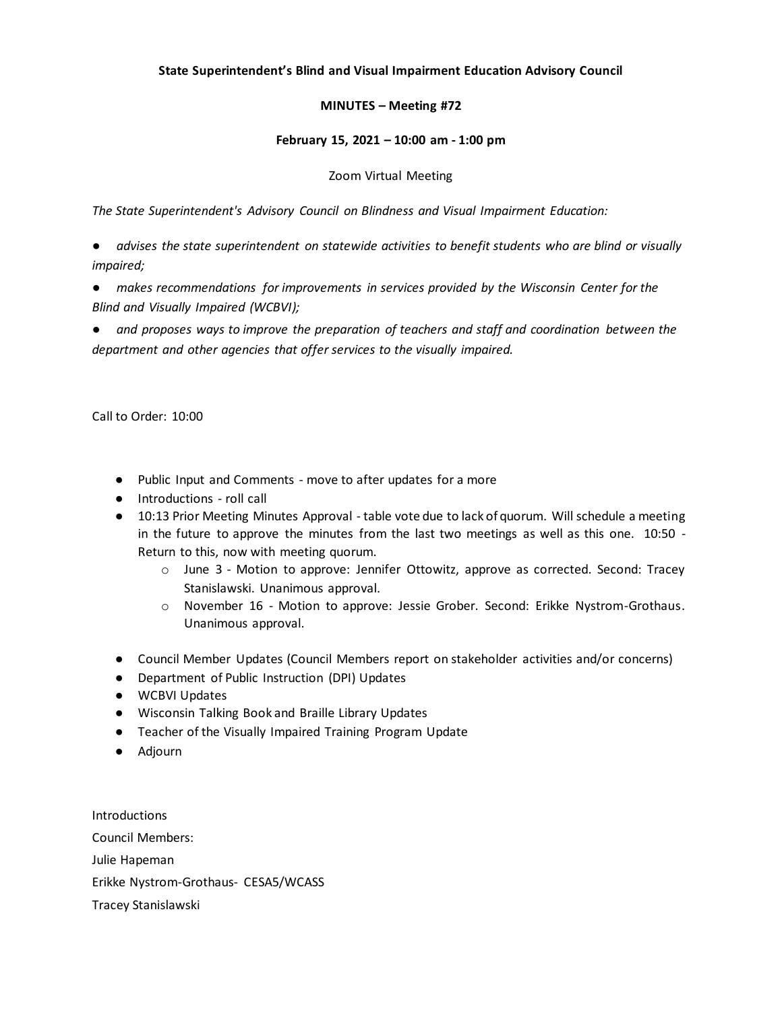# **State Superintendent's Blind and Visual Impairment Education Advisory Council**

# **MINUTES – Meeting #72**

## **February 15, 2021 – 10:00 am - 1:00 pm**

## Zoom Virtual Meeting

*The State Superintendent's Advisory Council on Blindness and Visual Impairment Education:*

● *advises the state superintendent on statewide activities to benefit students who are blind or visually impaired;*

● *makes recommendations for improvements in services provided by the Wisconsin Center for the Blind and Visually Impaired (WCBVI);*

● *and proposes ways to improve the preparation of teachers and staff and coordination between the department and other agencies that offer services to the visually impaired.*

Call to Order: 10:00

- Public Input and Comments move to after updates for a more
- Introductions roll call
- 10:13 Prior Meeting Minutes Approval table vote due to lack of quorum. Will schedule a meeting in the future to approve the minutes from the last two meetings as well as this one. 10:50 - Return to this, now with meeting quorum.
	- o June 3 Motion to approve: Jennifer Ottowitz, approve as corrected. Second: Tracey Stanislawski. Unanimous approval.
	- o November 16 Motion to approve: Jessie Grober. Second: Erikke Nystrom-Grothaus. Unanimous approval.
- Council Member Updates (Council Members report on stakeholder activities and/or concerns)
- Department of Public Instruction (DPI) Updates
- WCBVI Updates
- Wisconsin Talking Book and Braille Library Updates
- Teacher of the Visually Impaired Training Program Update
- Adjourn

Introductions Council Members: Julie Hapeman Erikke Nystrom-Grothaus- CESA5/WCASS Tracey Stanislawski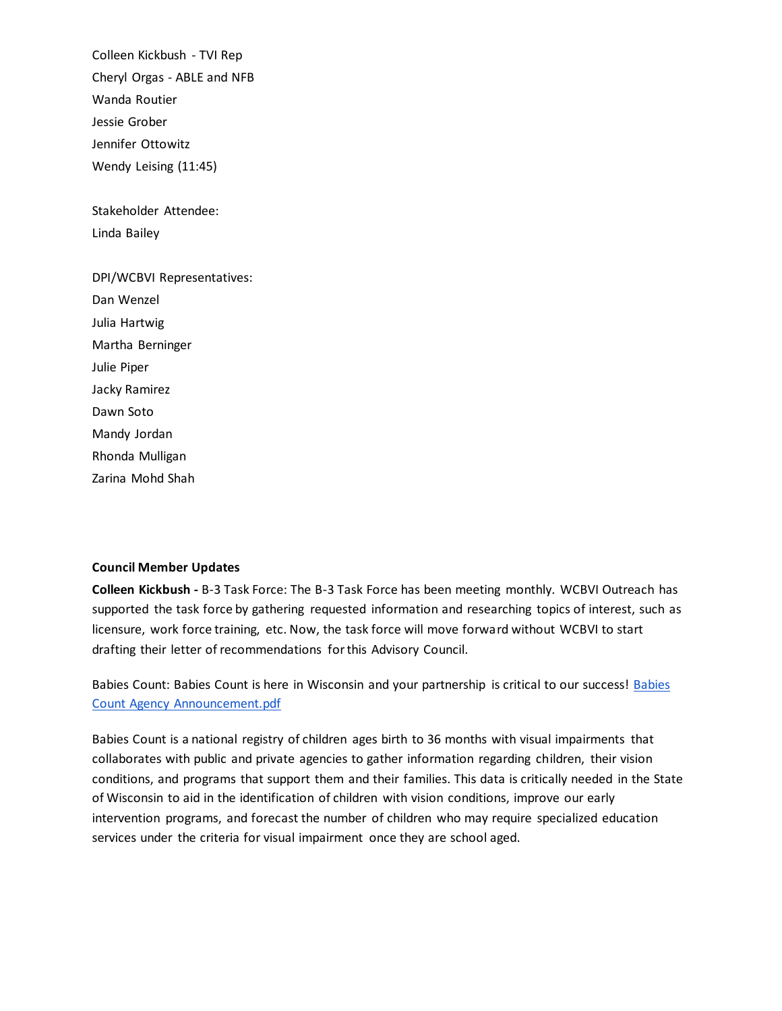Colleen Kickbush - TVI Rep Cheryl Orgas - ABLE and NFB Wanda Routier Jessie Grober Jennifer Ottowitz Wendy Leising (11:45)

Stakeholder Attendee: Linda Bailey

DPI/WCBVI Representatives: Dan Wenzel Julia Hartwig Martha Berninger Julie Piper Jacky Ramirez Dawn Soto Mandy Jordan Rhonda Mulligan Zarina Mohd Shah

## **Council Member Updates**

**Colleen Kickbush -** B-3 Task Force: The B-3 Task Force has been meeting monthly. WCBVI Outreach has supported the task force by gathering requested information and researching topics of interest, such as licensure, work force training, etc. Now, the task force will move forward without WCBVI to start drafting their letter of recommendations for this Advisory Council.

Babies Count: [Babies](https://drive.google.com/file/d/1CYCRMAzF1qv-iPSGCp2TsnhUJx5rEFkD/view?usp=sharing) Count is here in Wisconsin and your partnership is critical to our success! Babies [Count Agency Announcement.pdf](https://drive.google.com/file/d/1CYCRMAzF1qv-iPSGCp2TsnhUJx5rEFkD/view?usp=sharing)

Babies Count is a national registry of children ages birth to 36 months with visual impairments that collaborates with public and private agencies to gather information regarding children, their vision conditions, and programs that support them and their families. This data is critically needed in the State of Wisconsin to aid in the identification of children with vision conditions, improve our early intervention programs, and forecast the number of children who may require specialized education services under the criteria for visual impairment once they are school aged.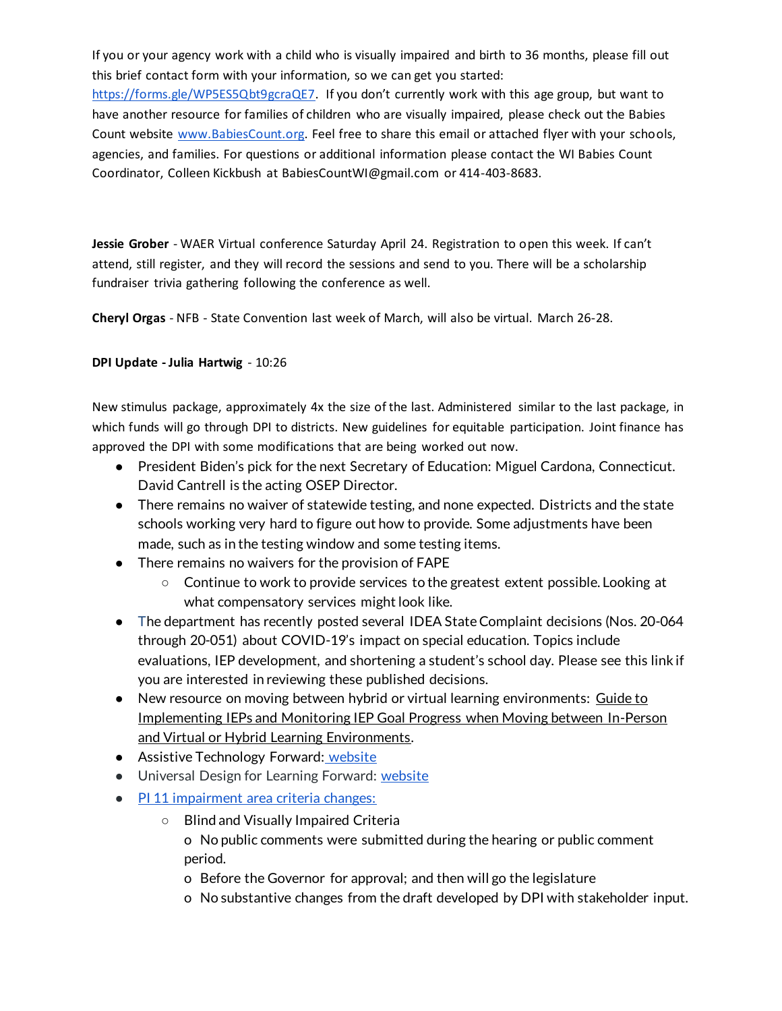If you or your agency work with a child who is visually impaired and birth to 36 months, please fill out this brief contact form with your information, so we can get you started[:](https://nam10.safelinks.protection.outlook.com/?url=https%3A%2F%2Fforms.gle%2FWP5ES5Qbt9gcraQE7&data=04%7C01%7Camanda.jordan%40wcbvi.k12.wi.us%7Ce127f1383fa74a4720cb08d8d1c8c703%7C99feb2c4c40a4932afb5dfa68122d56f%7C1%7C0%7C637490007594388447%7CUnknown%7CTWFpbGZsb3d8eyJWIjoiMC4wLjAwMDAiLCJQIjoiV2luMzIiLCJBTiI6Ik1haWwiLCJXVCI6Mn0%3D%7C1000&sdata=MQM1VAdFbr0Xd8jYsHT91HYgiLYWqMzFVP%2BbBwqA7Mg%3D&reserved=0)

[https://forms.gle/WP5ES5Qbt9gcraQE7](https://nam10.safelinks.protection.outlook.com/?url=https%3A%2F%2Fforms.gle%2FWP5ES5Qbt9gcraQE7&data=04%7C01%7Camanda.jordan%40wcbvi.k12.wi.us%7Ce127f1383fa74a4720cb08d8d1c8c703%7C99feb2c4c40a4932afb5dfa68122d56f%7C1%7C0%7C637490007594388447%7CUnknown%7CTWFpbGZsb3d8eyJWIjoiMC4wLjAwMDAiLCJQIjoiV2luMzIiLCJBTiI6Ik1haWwiLCJXVCI6Mn0%3D%7C1000&sdata=MQM1VAdFbr0Xd8jYsHT91HYgiLYWqMzFVP%2BbBwqA7Mg%3D&reserved=0). If you don't currently work with this age group, but want to have another resource for families of children who are visually impaired, please check out the Babies Count website [www.BabiesCount.org.](https://nam10.safelinks.protection.outlook.com/?url=http%3A%2F%2Fwww.babiescount.org%2F&data=04%7C01%7Camanda.jordan%40wcbvi.k12.wi.us%7Ce127f1383fa74a4720cb08d8d1c8c703%7C99feb2c4c40a4932afb5dfa68122d56f%7C1%7C0%7C637490007594398402%7CUnknown%7CTWFpbGZsb3d8eyJWIjoiMC4wLjAwMDAiLCJQIjoiV2luMzIiLCJBTiI6Ik1haWwiLCJXVCI6Mn0%3D%7C1000&sdata=9nIkaXBbHar8Es%2Bup3g8zXJG1bzDIrJRQN50JRpqLj0%3D&reserved=0) Feel free to share this email or attached flyer with your schools, agencies, and families. For questions or additional information please contact the WI Babies Count Coordinator, Colleen Kickbush at BabiesCountWI@gmail.com or 414-403-8683.

**Jessie Grober** - WAER Virtual conference Saturday April 24. Registration to open this week. If can't attend, still register, and they will record the sessions and send to you. There will be a scholarship fundraiser trivia gathering following the conference as well.

**Cheryl Orgas** - NFB - State Convention last week of March, will also be virtual. March 26-28.

# **DPI Update - Julia Hartwig** - 10:26

New stimulus package, approximately 4x the size of the last. Administered similar to the last package, in which funds will go through DPI to districts. New guidelines for equitable participation. Joint finance has approved the DPI with some modifications that are being worked out now.

- President Biden's pick for the next Secretary of Education: Miguel Cardona, Connecticut. David Cantrell is the acting OSEP Director.
- There remains no waiver of statewide testing, and none expected. Districts and the state schools working very hard to figure out how to provide. Some adjustments have been made, such as in the testing window and some testing items.
- There remains no waivers for the provision of FAPE
	- Continue to work to provide services to the greatest extent possible. Looking at what compensatory services might look like.
- The department has recently posted several IDEA State Complaint decisions (Nos. 20-064 through 20-051) about COVID-19's impact on special education. Topics include evaluations, IEP development, and shortening a student's school day. Please see [this link i](https://dpi.wi.gov/sped/dispute-resolution/complain/decisions)f you are interested in reviewing these published decisions.
- New resource on moving between hybrid or virtual learning environments: Guide to [Implementing IEPs and Monitoring IEP Goal Progress when Moving between In-Person](https://dpi.wi.gov/sites/default/files/imce/sped/pdf/iep-guide-monitoring-progress-between-learning-environments.pdf)  [and Virtual or Hybrid Learning Environments.](https://dpi.wi.gov/sites/default/files/imce/sped/pdf/iep-guide-monitoring-progress-between-learning-environments.pdf)
- Assistive Technology Forward: [website](https://dpi.wi.gov/sped/educators/consultation/assistive-technology/at-forward)
- Universal Design for Learning Forward: [website](https://dpi.wi.gov/universal-design-learning)
- [PI 11 impairment area criteria changes:](https://dpi.wi.gov/legislative-policy-outreach/administrative-rules)
	- Blind and Visually Impaired Criteria o No public comments were submitted during the hearing or public comment period.
		- o Before the Governor for approval; and then will go the legislature
		- o No substantive changes from the draft developed by DPI with stakeholder input.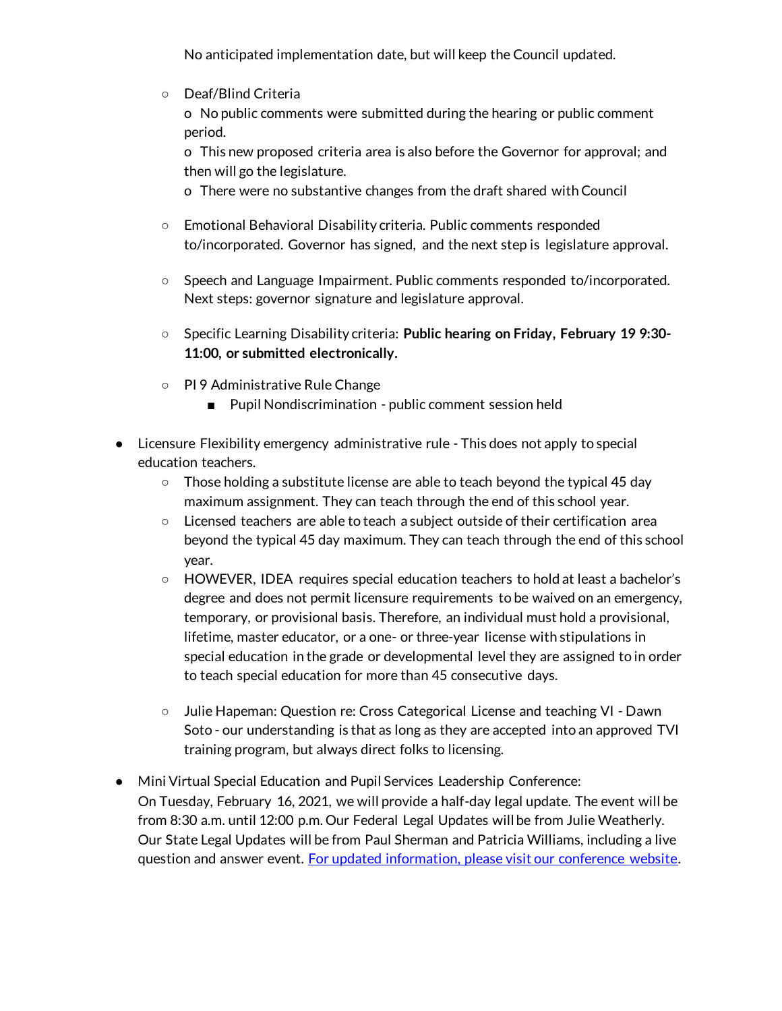No anticipated implementation date, but will keep the Council updated.

○ Deaf/Blind Criteria

o No public comments were submitted during the hearing or public comment period.

o This new proposed criteria area is also before the Governor for approval; and then will go the legislature.

o There were no substantive changes from the draft shared with Council

- Emotional Behavioral Disability criteria. Public comments responded to/incorporated. Governor has signed, and the next step is legislature approval.
- Speech and Language Impairment. Public comments responded to/incorporated. Next steps: governor signature and legislature approval.
- Specific Learning Disability criteria: **Public hearing on Friday, February 19 9:30- 11:00, or submitted electronically.**
- PI 9 Administrative Rule Change
	- Pupil Nondiscrimination public comment session held
- Licensure Flexibility emergency administrative rule This does not apply to special education teachers.
	- $\circ$  Those holding a substitute license are able to teach beyond the typical 45 day maximum assignment. They can teach through the end of this school year.
	- Licensed teachers are able to teach a subject outside of their certification area beyond the typical 45 day maximum. They can teach through the end of this school year.
	- HOWEVER, IDEA requires special education teachers to hold at least a bachelor's degree and does not permit licensure requirements to be waived on an emergency, temporary, or provisional basis. Therefore, an individual must hold a provisional, lifetime, master educator, or a one- or three-year license with stipulations in special education in the grade or developmental level they are assigned to in order to teach special education for more than 45 consecutive days.
	- Julie Hapeman: Question re: Cross Categorical License and teaching VI Dawn Soto - our understanding is that as long as they are accepted into an approved TVI training program, but always direct folks to licensing.
- Mini Virtual Special Education and Pupil Services Leadership Conference: On Tuesday, February 16, 2021, we will provide a half-day legal update. The event will be from 8:30 a.m. until 12:00 p.m. Our Federal Legal Updates will be from Julie Weatherly. Our State Legal Updates will be from Paul Sherman and Patricia Williams, including a live question and answer event. For updated information, please visit our conference website.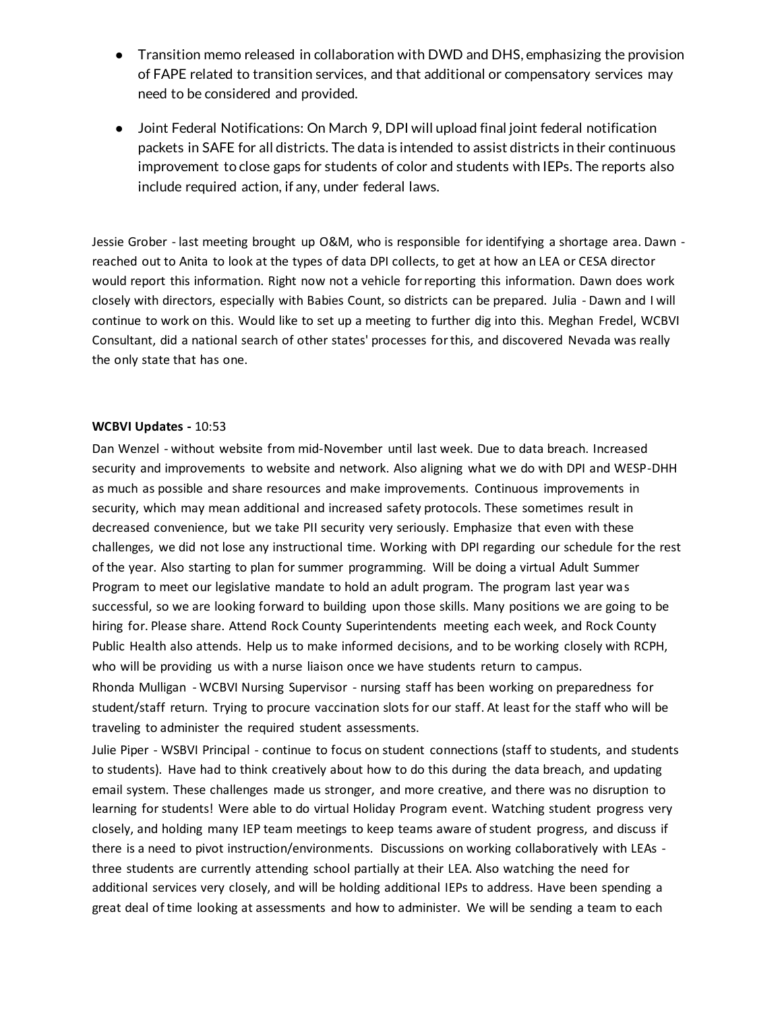- Transition memo released in collaboration with DWD and DHS, emphasizing the provision of FAPE related to transition services, and that additional or compensatory services may need to be considered and provided.
- Joint Federal Notifications: On March 9, DPI will upload final joint federal notification packets in SAFE for all districts. The data is intended to assist districts in their continuous improvement to close gaps for students of color and students with IEPs. The reports also include required action, if any, under federal laws.

Jessie Grober - last meeting brought up O&M, who is responsible for identifying a shortage area. Dawn reached out to Anita to look at the types of data DPI collects, to get at how an LEA or CESA director would report this information. Right now not a vehicle for reporting this information. Dawn does work closely with directors, especially with Babies Count, so districts can be prepared. Julia - Dawn and I will continue to work on this. Would like to set up a meeting to further dig into this. Meghan Fredel, WCBVI Consultant, did a national search of other states' processes for this, and discovered Nevada was really the only state that has one.

# **WCBVI Updates -** 10:53

Dan Wenzel - without website from mid-November until last week. Due to data breach. Increased security and improvements to website and network. Also aligning what we do with DPI and WESP-DHH as much as possible and share resources and make improvements. Continuous improvements in security, which may mean additional and increased safety protocols. These sometimes result in decreased convenience, but we take PII security very seriously. Emphasize that even with these challenges, we did not lose any instructional time. Working with DPI regarding our schedule for the rest of the year. Also starting to plan for summer programming. Will be doing a virtual Adult Summer Program to meet our legislative mandate to hold an adult program. The program last year was successful, so we are looking forward to building upon those skills. Many positions we are going to be hiring for. Please share. Attend Rock County Superintendents meeting each week, and Rock County Public Health also attends. Help us to make informed decisions, and to be working closely with RCPH, who will be providing us with a nurse liaison once we have students return to campus.

Rhonda Mulligan - WCBVI Nursing Supervisor - nursing staff has been working on preparedness for student/staff return. Trying to procure vaccination slots for our staff. At least for the staff who will be traveling to administer the required student assessments.

Julie Piper - WSBVI Principal - continue to focus on student connections (staff to students, and students to students). Have had to think creatively about how to do this during the data breach, and updating email system. These challenges made us stronger, and more creative, and there was no disruption to learning for students! Were able to do virtual Holiday Program event. Watching student progress very closely, and holding many IEP team meetings to keep teams aware of student progress, and discuss if there is a need to pivot instruction/environments. Discussions on working collaboratively with LEAs three students are currently attending school partially at their LEA. Also watching the need for additional services very closely, and will be holding additional IEPs to address. Have been spending a great deal of time looking at assessments and how to administer. We will be sending a team to each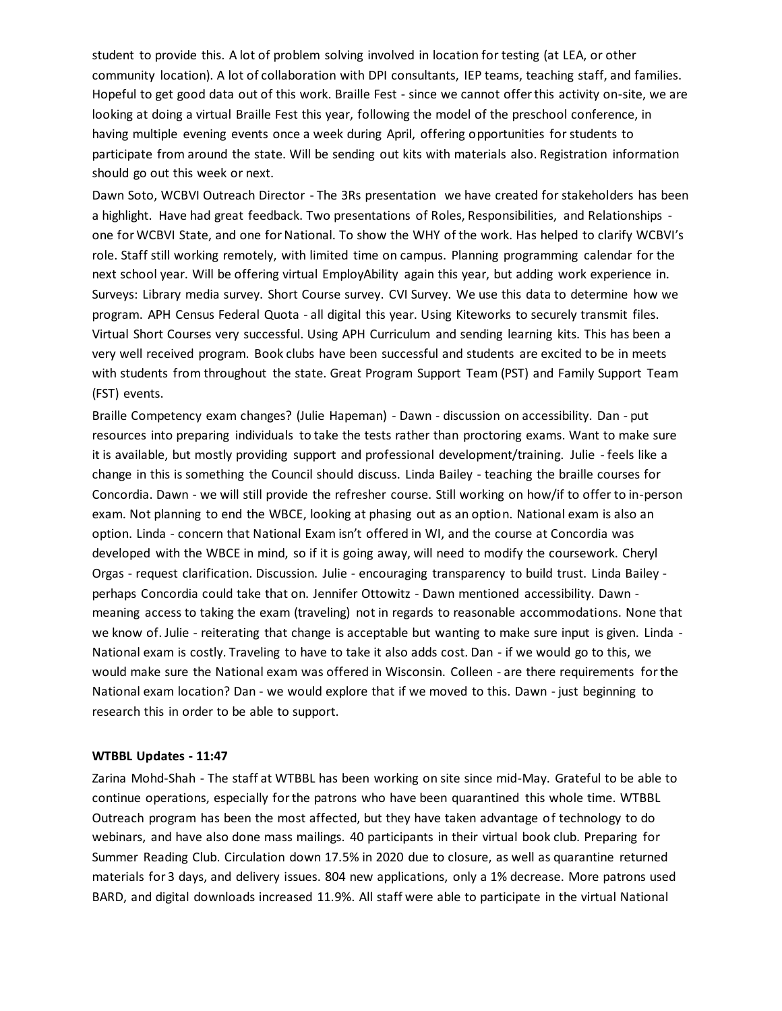student to provide this. A lot of problem solving involved in location for testing (at LEA, or other community location). A lot of collaboration with DPI consultants, IEP teams, teaching staff, and families. Hopeful to get good data out of this work. Braille Fest - since we cannot offer this activity on-site, we are looking at doing a virtual Braille Fest this year, following the model of the preschool conference, in having multiple evening events once a week during April, offering opportunities for students to participate from around the state. Will be sending out kits with materials also. Registration information should go out this week or next.

Dawn Soto, WCBVI Outreach Director - The 3Rs presentation we have created for stakeholders has been a highlight. Have had great feedback. Two presentations of Roles, Responsibilities, and Relationships one for WCBVI State, and one for National. To show the WHY of the work. Has helped to clarify WCBVI's role. Staff still working remotely, with limited time on campus. Planning programming calendar for the next school year. Will be offering virtual EmployAbility again this year, but adding work experience in. Surveys: Library media survey. Short Course survey. CVI Survey. We use this data to determine how we program. APH Census Federal Quota - all digital this year. Using Kiteworks to securely transmit files. Virtual Short Courses very successful. Using APH Curriculum and sending learning kits. This has been a very well received program. Book clubs have been successful and students are excited to be in meets with students from throughout the state. Great Program Support Team (PST) and Family Support Team (FST) events.

Braille Competency exam changes? (Julie Hapeman) - Dawn - discussion on accessibility. Dan - put resources into preparing individuals to take the tests rather than proctoring exams. Want to make sure it is available, but mostly providing support and professional development/training. Julie - feels like a change in this is something the Council should discuss. Linda Bailey - teaching the braille courses for Concordia. Dawn - we will still provide the refresher course. Still working on how/if to offer to in-person exam. Not planning to end the WBCE, looking at phasing out as an option. National exam is also an option. Linda - concern that National Exam isn't offered in WI, and the course at Concordia was developed with the WBCE in mind, so if it is going away, will need to modify the coursework. Cheryl Orgas - request clarification. Discussion. Julie - encouraging transparency to build trust. Linda Bailey perhaps Concordia could take that on. Jennifer Ottowitz - Dawn mentioned accessibility. Dawn meaning access to taking the exam (traveling) not in regards to reasonable accommodations. None that we know of. Julie - reiterating that change is acceptable but wanting to make sure input is given. Linda -National exam is costly. Traveling to have to take it also adds cost. Dan - if we would go to this, we would make sure the National exam was offered in Wisconsin. Colleen - are there requirements for the National exam location? Dan - we would explore that if we moved to this. Dawn - just beginning to research this in order to be able to support.

#### **WTBBL Updates - 11:47**

Zarina Mohd-Shah - The staff at WTBBL has been working on site since mid-May. Grateful to be able to continue operations, especially for the patrons who have been quarantined this whole time. WTBBL Outreach program has been the most affected, but they have taken advantage of technology to do webinars, and have also done mass mailings. 40 participants in their virtual book club. Preparing for Summer Reading Club. Circulation down 17.5% in 2020 due to closure, as well as quarantine returned materials for 3 days, and delivery issues. 804 new applications, only a 1% decrease. More patrons used BARD, and digital downloads increased 11.9%. All staff were able to participate in the virtual National